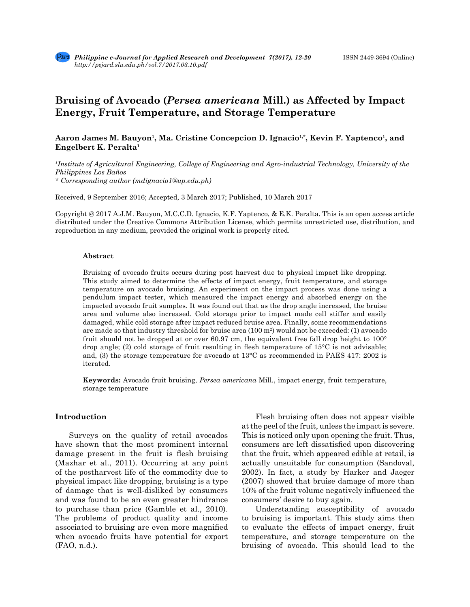

# **Bruising of Avocado (***Persea americana* **Mill.) as Affected by Impact Energy, Fruit Temperature, and Storage Temperature**

Aaron James M. Bauyon<sup>1</sup>, Ma. Cristine Concepcion D. Ignacio<sup>1,\*</sup>, Kevin F. Yaptenco<sup>1</sup>, and **Engelbert K. Peralta1** 

*1 Institute of Agricultural Engineering, College of Engineering and Agro-industrial Technology, University of the Philippines Los Baños*

*\* Corresponding author (mdignacio1@up.edu.ph)*

Received, 9 September 2016; Accepted, 3 March 2017; Published, 10 March 2017

Copyright @ 2017 A.J.M. Bauyon, M.C.C.D. Ignacio, K.F. Yaptenco, & E.K. Peralta. This is an open access article distributed under the Creative Commons Attribution License, which permits unrestricted use, distribution, and reproduction in any medium, provided the original work is properly cited.

#### **Abstract**

Bruising of avocado fruits occurs during post harvest due to physical impact like dropping. This study aimed to determine the effects of impact energy, fruit temperature, and storage temperature on avocado bruising. An experiment on the impact process was done using a pendulum impact tester, which measured the impact energy and absorbed energy on the impacted avocado fruit samples. It was found out that as the drop angle increased, the bruise area and volume also increased. Cold storage prior to impact made cell stiffer and easily damaged, while cold storage after impact reduced bruise area. Finally, some recommendations are made so that industry threshold for bruise area  $(100 \text{ m}^2)$  would not be exceeded: (1) avocado fruit should not be dropped at or over 60.97 cm, the equivalent free fall drop height to 100° drop angle; (2) cold storage of fruit resulting in flesh temperature of 15°C is not advisable; and, (3) the storage temperature for avocado at 13°C as recommended in PAES 417: 2002 is iterated.

**Keywords:** Avocado fruit bruising, *Persea americana* Mill., impact energy, fruit temperature, storage temperature

# **Introduction**

Surveys on the quality of retail avocados have shown that the most prominent internal damage present in the fruit is flesh bruising (Mazhar et al., 2011). Occurring at any point of the postharvest life of the commodity due to physical impact like dropping, bruising is a type of damage that is well-disliked by consumers and was found to be an even greater hindrance to purchase than price (Gamble et al., 2010). The problems of product quality and income associated to bruising are even more magnified when avocado fruits have potential for export (FAO, n.d.).

Flesh bruising often does not appear visible at the peel of the fruit, unless the impact is severe. This is noticed only upon opening the fruit. Thus, consumers are left dissatisfied upon discovering that the fruit, which appeared edible at retail, is actually unsuitable for consumption (Sandoval, 2002). In fact, a study by Harker and Jaeger (2007) showed that bruise damage of more than 10% of the fruit volume negatively influenced the consumers' desire to buy again.

Understanding susceptibility of avocado to bruising is important. This study aims then to evaluate the effects of impact energy, fruit temperature, and storage temperature on the bruising of avocado. This should lead to the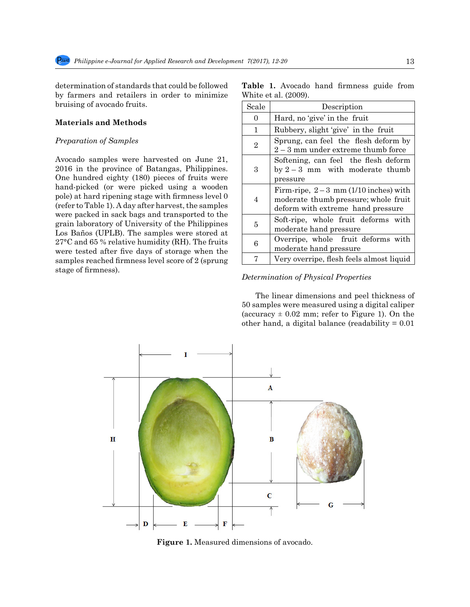determination of standards that could be followed by farmers and retailers in order to minimize bruising of avocado fruits.

# **Materials and Methods**

## *Preparation of Samples*

Avocado samples were harvested on June 21, 2016 in the province of Batangas, Philippines. One hundred eighty (180) pieces of fruits were hand-picked (or were picked using a wooden pole) at hard ripening stage with firmness level 0 (refer to Table 1). A day after harvest, the samples were packed in sack bags and transported to the grain laboratory of University of the Philippines Los Baños (UPLB). The samples were stored at 27°C and 65 % relative humidity (RH). The fruits were tested after five days of storage when the samples reached firmness level score of 2 (sprung stage of firmness).

|  |                      | <b>Table 1.</b> Avocado hand firmness guide from |  |
|--|----------------------|--------------------------------------------------|--|
|  | White et al. (2009). |                                                  |  |

| Scale          | Description                                                                                                         |  |  |  |  |
|----------------|---------------------------------------------------------------------------------------------------------------------|--|--|--|--|
| 0              | Hard, no 'give' in the fruit                                                                                        |  |  |  |  |
| 1              | Rubbery, slight 'give' in the fruit                                                                                 |  |  |  |  |
| $\overline{2}$ | Sprung, can feel the flesh deform by<br>$2-3$ mm under extreme thumb force                                          |  |  |  |  |
| 3              | Softening, can feel the flesh deform<br>by $2-3$ mm with moderate thumb<br>pressure                                 |  |  |  |  |
| 4              | Firm-ripe, $2-3$ mm (1/10 inches) with<br>moderate thumb pressure; whole fruit<br>deform with extreme hand pressure |  |  |  |  |
| 5              | Soft-ripe, whole fruit deforms with<br>moderate hand pressure                                                       |  |  |  |  |
| 6              | Overripe, whole fruit deforms with<br>moderate hand pressure                                                        |  |  |  |  |
|                | Very overripe, flesh feels almost liquid                                                                            |  |  |  |  |

# *Determination of Physical Properties*

The linear dimensions and peel thickness of 50 samples were measured using a digital caliper (accuracy  $\pm$  0.02 mm; refer to Figure 1). On the other hand, a digital balance (readability  $= 0.01$ 



**Figure 1.** Measured dimensions of avocado.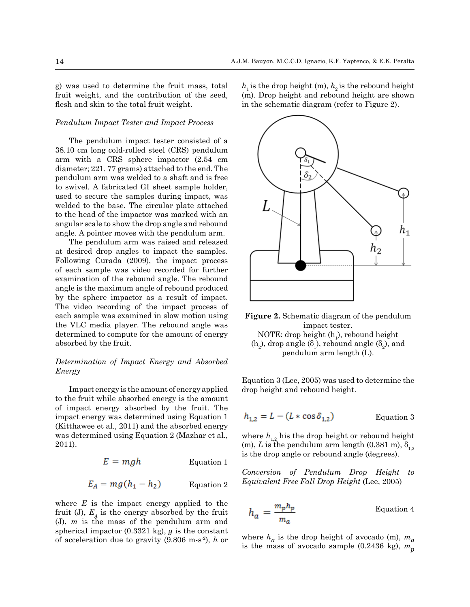g) was used to determine the fruit mass, total fruit weight, and the contribution of the seed, flesh and skin to the total fruit weight.

## *Pendulum Impact Tester and Impact Process*

The pendulum impact tester consisted of a 38.10 cm long cold-rolled steel (CRS) pendulum arm with a CRS sphere impactor (2.54 cm diameter; 221. 77 grams) attached to the end. The pendulum arm was welded to a shaft and is free to swivel. A fabricated GI sheet sample holder, used to secure the samples during impact, was welded to the base. The circular plate attached to the head of the impactor was marked with an angular scale to show the drop angle and rebound angle. A pointer moves with the pendulum arm.

The pendulum arm was raised and released at desired drop angles to impact the samples. Following Curada (2009), the impact process of each sample was video recorded for further examination of the rebound angle. The rebound angle is the maximum angle of rebound produced by the sphere impactor as a result of impact. The video recording of the impact process of each sample was examined in slow motion using the VLC media player. The rebound angle was determined to compute for the amount of energy absorbed by the fruit.

# *Determination of Impact Energy and Absorbed Energy*

Impact energy is the amount of energy applied to the fruit while absorbed energy is the amount of impact energy absorbed by the fruit. The impact energy was determined using Equation 1 (Kitthawee et al., 2011) and the absorbed energy was determined using Equation 2 (Mazhar et al., 2011).

$$
E = mgh
$$
 Equation 1

$$
E_A = mg(h_1 - h_2) \qquad \text{Equation 2}
$$

where *E* is the impact energy applied to the fruit (J),  $E_A$  is the energy absorbed by the fruit (J), *m* is the mass of the pendulum arm and spherical impactor (0.3321 kg), *g* is the constant of acceleration due to gravity (9.806 m-s-2), *h* or  $h_1$  is the drop height (m),  $h_2$  is the rebound height (m). Drop height and rebound height are shown in the schematic diagram (refer to Figure 2).



**Figure 2.** Schematic diagram of the pendulum impact tester. NOTE: drop height  $(h_1)$ , rebound height  $(h_2)$ , drop angle  $(\delta_1)$ , rebound angle  $(\delta_2)$ , and pendulum arm length (L).

Equation 3 (Lee, 2005) was used to determine the drop height and rebound height.

$$
h_{1,2} = L - (L * \cos \delta_{1,2})
$$
 Equation 3

where  $h_{1,2}$  his the drop height or rebound height (m), *L* is the pendulum arm length (0.381 m),  $\delta_{12}$ is the drop angle or rebound angle (degrees).

*Conversion of Pendulum Drop Height to Equivalent Free Fall Drop Height* (Lee, 2005)

$$
h_a = \frac{m_p h_p}{m_a}
$$
 Equation 4

where  $h_a$  is the drop height of avocado (m),  $m_a$  is the mass of avocado sample (0.2436 kg),  $m_p$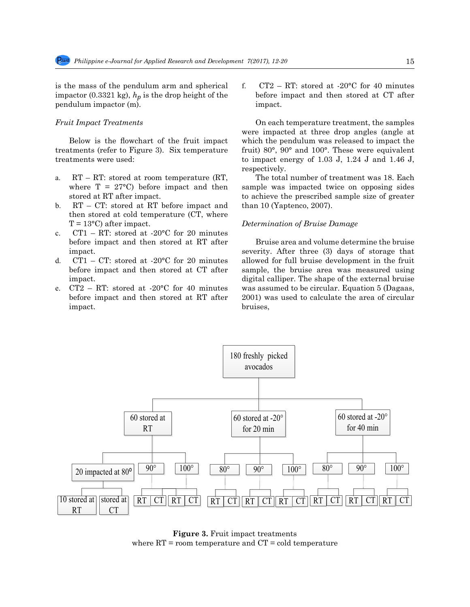is the mass of the pendulum arm and spherical impactor (0.3321 kg), *hp* is the drop height of the pendulum impactor (m).

## *Fruit Impact Treatments*

Below is the flowchart of the fruit impact treatments (refer to Figure 3). Six temperature treatments were used:

- a. RT RT: stored at room temperature (RT, where  $T = 27^{\circ}$ C) before impact and then stored at RT after impact.
- b. RT CT: stored at RT before impact and then stored at cold temperature (CT, where  $T = 13^{\circ}$ C) after impact.
- c.  $CT1 RT$ : stored at -20 $^{\circ}$ C for 20 minutes before impact and then stored at RT after impact.
- d.  $CT1 CT$ : stored at -20 $\degree$ C for 20 minutes before impact and then stored at CT after impact.
- e. CT2 RT: stored at -20°C for 40 minutes before impact and then stored at RT after impact.

f.  $CT2 - RT$ : stored at -20 $°C$  for 40 minutes before impact and then stored at CT after impact.

On each temperature treatment, the samples were impacted at three drop angles (angle at which the pendulum was released to impact the fruit) 80°, 90° and 100°. These were equivalent to impact energy of 1.03 J, 1.24 J and 1.46 J, respectively.

The total number of treatment was 18. Each sample was impacted twice on opposing sides to achieve the prescribed sample size of greater than 10 (Yaptenco, 2007).

#### *Determination of Bruise Damage*

Bruise area and volume determine the bruise severity. After three (3) days of storage that allowed for full bruise development in the fruit sample, the bruise area was measured using digital calliper. The shape of the external bruise was assumed to be circular. Equation 5 (Dagaas, 2001) was used to calculate the area of circular bruises,



**Figure 3.** Fruit impact treatments where  $RT =$  room temperature and  $CT =$  cold temperature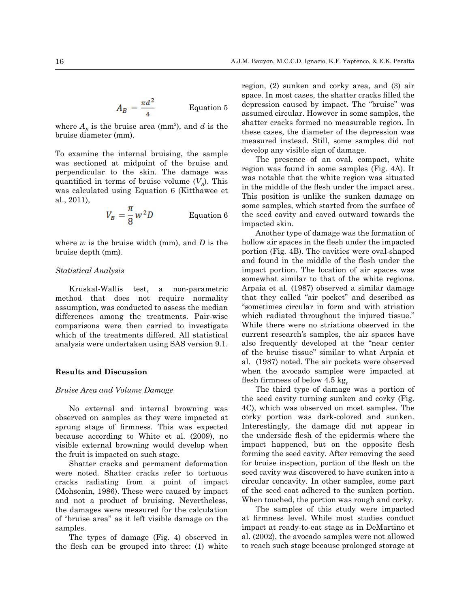$$
A_B = \frac{\pi d^2}{4}
$$
 Equation 5

where  $A_{B}$  is the bruise area (mm<sup>2</sup>), and  $d$  is the bruise diameter (mm).

To examine the internal bruising, the sample was sectioned at midpoint of the bruise and perpendicular to the skin. The damage was quantified in terms of bruise volume  $(V_p)$ . This was calculated using Equation 6 (Kitthawee et al., 2011),

$$
V_B = \frac{\pi}{8} w^2 D
$$
 Equation 6

where *w* is the bruise width (mm), and *D* is the bruise depth (mm).

## *Statistical Analysis*

Kruskal-Wallis test, a non-parametric method that does not require normality assumption, was conducted to assess the median differences among the treatments. Pair-wise comparisons were then carried to investigate which of the treatments differed. All statistical analysis were undertaken using SAS version 9.1.

## **Results and Discussion**

#### *Bruise Area and Volume Damage*

No external and internal browning was observed on samples as they were impacted at sprung stage of firmness. This was expected because according to White et al. (2009), no visible external browning would develop when the fruit is impacted on such stage.

Shatter cracks and permanent deformation were noted. Shatter cracks refer to tortuous cracks radiating from a point of impact (Mohsenin, 1986). These were caused by impact and not a product of bruising. Nevertheless, the damages were measured for the calculation of "bruise area" as it left visible damage on the samples.

The types of damage (Fig. 4) observed in the flesh can be grouped into three: (1) white region, (2) sunken and corky area, and (3) air space. In most cases, the shatter cracks filled the depression caused by impact. The "bruise" was assumed circular. However in some samples, the shatter cracks formed no measurable region. In these cases, the diameter of the depression was measured instead. Still, some samples did not develop any visible sign of damage.

The presence of an oval, compact, white region was found in some samples (Fig. 4A). It was notable that the white region was situated in the middle of the flesh under the impact area. This position is unlike the sunken damage on some samples, which started from the surface of the seed cavity and caved outward towards the impacted skin.

Another type of damage was the formation of hollow air spaces in the flesh under the impacted portion (Fig. 4B). The cavities were oval-shaped and found in the middle of the flesh under the impact portion. The location of air spaces was somewhat similar to that of the white regions. Arpaia et al. (1987) observed a similar damage that they called "air pocket" and described as "sometimes circular in form and with striation which radiated throughout the injured tissue." While there were no striations observed in the current research's samples, the air spaces have also frequently developed at the "near center of the bruise tissue" similar to what Arpaia et al. (1987) noted. The air pockets were observed when the avocado samples were impacted at flesh firmness of below 4.5 kg.

The third type of damage was a portion of the seed cavity turning sunken and corky (Fig. 4C), which was observed on most samples. The corky portion was dark-colored and sunken. Interestingly, the damage did not appear in the underside flesh of the epidermis where the impact happened, but on the opposite flesh forming the seed cavity. After removing the seed for bruise inspection, portion of the flesh on the seed cavity was discovered to have sunken into a circular concavity. In other samples, some part of the seed coat adhered to the sunken portion. When touched, the portion was rough and corky.

The samples of this study were impacted at firmness level. While most studies conduct impact at ready-to-eat stage as in DeMartino et al. (2002), the avocado samples were not allowed to reach such stage because prolonged storage at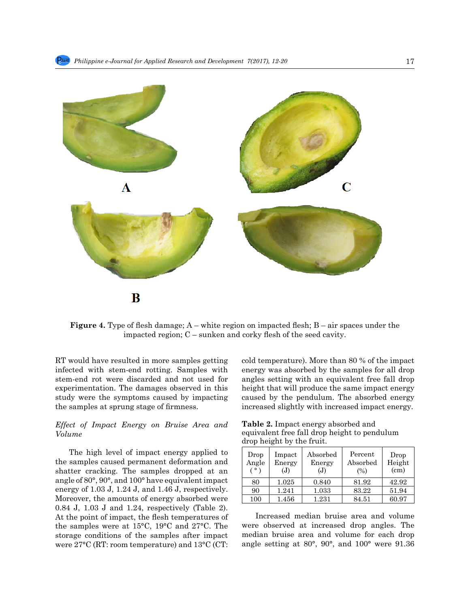

**Figure 4.** Type of flesh damage; A – white region on impacted flesh; B – air spaces under the impacted region; C – sunken and corky flesh of the seed cavity.

RT would have resulted in more samples getting infected with stem-end rotting. Samples with stem-end rot were discarded and not used for experimentation. The damages observed in this study were the symptoms caused by impacting the samples at sprung stage of firmness.

# *Effect of Impact Energy on Bruise Area and Volume*

The high level of impact energy applied to the samples caused permanent deformation and shatter cracking. The samples dropped at an angle of 80°, 90°, and 100° have equivalent impact energy of 1.03 J, 1.24 J, and 1.46 J, respectively. Moreover, the amounts of energy absorbed were 0.84 J, 1.03 J and 1.24, respectively (Table 2). At the point of impact, the flesh temperatures of the samples were at 15°C, 19°C and 27°C. The storage conditions of the samples after impact were 27°C (RT: room temperature) and 13°C (CT: cold temperature). More than 80 % of the impact energy was absorbed by the samples for all drop angles setting with an equivalent free fall drop height that will produce the same impact energy caused by the pendulum. The absorbed energy increased slightly with increased impact energy.

**Table 2.** Impact energy absorbed and equivalent free fall drop height to pendulum drop height by the fruit.

| Drop<br>Angle<br>$\sim$ $\sim$ $\sim$ | Impact<br>Energy<br>(J) | ${\rm Absorbed}$<br>Energy<br>(J) | Percent<br>Absorbed<br>(%) | Drop<br>Height<br>(cm) |
|---------------------------------------|-------------------------|-----------------------------------|----------------------------|------------------------|
| 80                                    | 1.025                   | 0.840                             | 81.92                      | 42.92                  |
| 90                                    | 1.241                   | 1.033                             | 83.22                      | 51.94                  |
| 100                                   | 1.456                   | 1.231                             | 84.51                      | 60.97                  |

Increased median bruise area and volume were observed at increased drop angles. The median bruise area and volume for each drop angle setting at 80°, 90°, and 100° were 91.36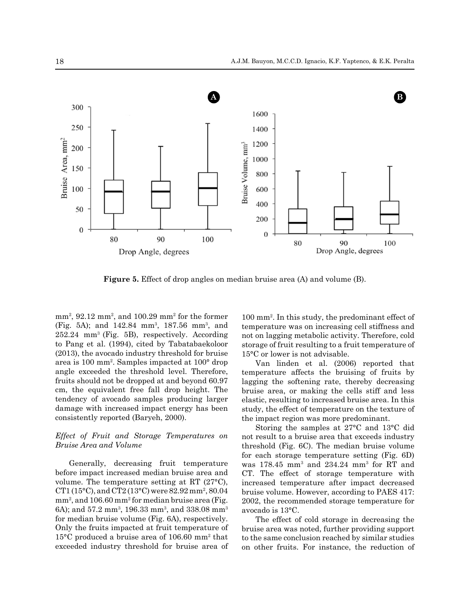

**Figure 5.** Effect of drop angles on median bruise area (A) and volume (B).

mm<sup>2</sup>, 92.12 mm<sup>2</sup>, and 100.29 mm<sup>2</sup> for the former (Fig. 5A); and 142.84 mm<sup>3</sup>, 187.56 mm<sup>3</sup>, and 252.24 mm<sup>3</sup>(Fig. 5B), respectively. According to Pang et al. (1994), cited by Tabatabaekoloor (2013), the avocado industry threshold for bruise area is 100 mm2 . Samples impacted at 100° drop angle exceeded the threshold level. Therefore, fruits should not be dropped at and beyond 60.97 cm, the equivalent free fall drop height. The tendency of avocado samples producing larger damage with increased impact energy has been consistently reported (Baryeh, 2000).

## *Effect of Fruit and Storage Temperatures on Bruise Area and Volume*

Generally, decreasing fruit temperature before impact increased median bruise area and volume. The temperature setting at RT (27°C), CT1 (15 $\rm ^{o}C$ ), and CT2 (13 $\rm ^{o}C$ ) were 82.92 mm<sup>2</sup>, 80.04 mm<sup>2</sup>, and 106.60 mm<sup>2</sup> for median bruise area (Fig. 6A); and 57.2 mm $^3$ , 196.33 mm $^3$ , and 338.08 mm $^3$ for median bruise volume (Fig. 6A), respectively. Only the fruits impacted at fruit temperature of 15°C produced a bruise area of 106.60 mm<sup>2</sup> that exceeded industry threshold for bruise area of

100 mm2 . In this study, the predominant effect of temperature was on increasing cell stiffness and not on lagging metabolic activity. Therefore, cold storage of fruit resulting to a fruit temperature of 15°C or lower is not advisable.

Van linden et al. (2006) reported that temperature affects the bruising of fruits by lagging the softening rate, thereby decreasing bruise area, or making the cells stiff and less elastic, resulting to increased bruise area. In this study, the effect of temperature on the texture of the impact region was more predominant.

Storing the samples at 27°C and 13°C did not result to a bruise area that exceeds industry threshold (Fig. 6C). The median bruise volume for each storage temperature setting (Fig. 6D) was 178.45 mm<sup>3</sup> and 234.24 mm3 for RT and CT. The effect of storage temperature with increased temperature after impact decreased bruise volume. However, according to PAES 417: 2002, the recommended storage temperature for avocado is 13°C.

The effect of cold storage in decreasing the bruise area was noted, further providing support to the same conclusion reached by similar studies on other fruits. For instance, the reduction of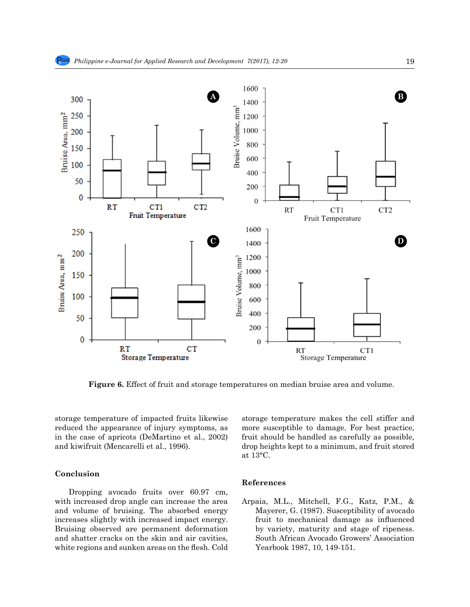

**Figure 6.** Effect of fruit and storage temperatures on median bruise area and volume.

storage temperature of impacted fruits likewise reduced the appearance of injury symptoms, as in the case of apricots (DeMartino et al., 2002) and kiwifruit (Mencarelli et al., 1996).

# **Conclusion**

Dropping avocado fruits over 60.97 cm, with increased drop angle can increase the area and volume of bruising. The absorbed energy increases slightly with increased impact energy. Bruising observed are permanent deformation and shatter cracks on the skin and air cavities, white regions and sunken areas on the flesh. Cold storage temperature makes the cell stiffer and more susceptible to damage. For best practice, fruit should be handled as carefully as possible, drop heights kept to a minimum, and fruit stored at 13°C.

## **References**

Arpaia, M.L., Mitchell, F.G., Katz, P.M., & Mayerer, G. (1987). Susceptibility of avocado fruit to mechanical damage as influenced by variety, maturity and stage of ripeness. South African Avocado Growers' Association Yearbook 1987, 10, 149-151.